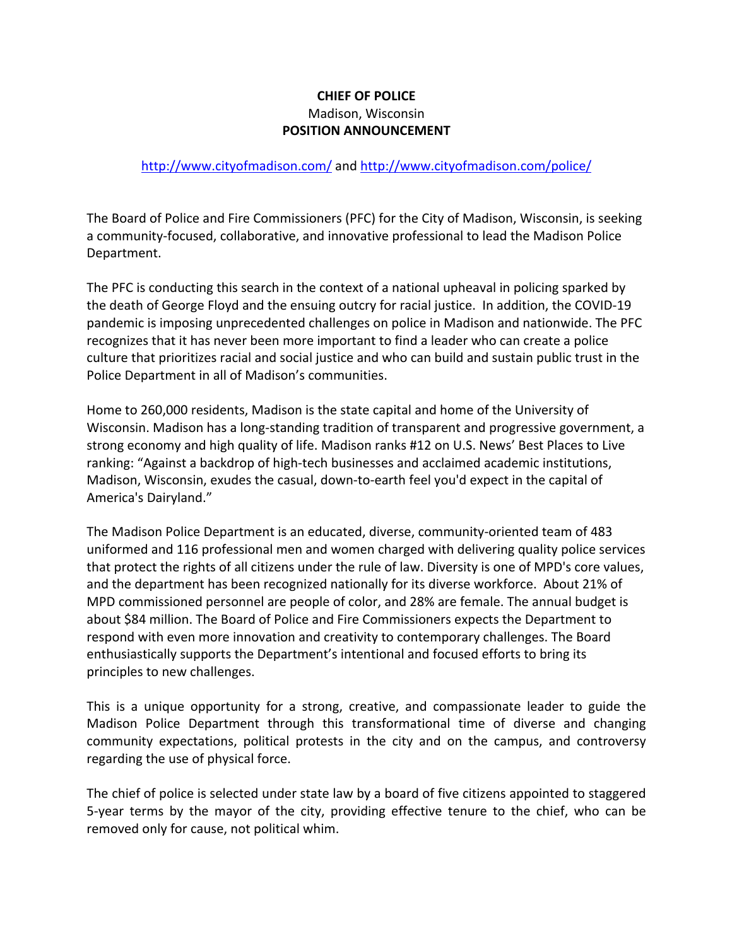## **CHIEF OF POLICE** Madison, Wisconsin **POSITION ANNOUNCEMENT**

## http://www.cityofmadison.com/ and http://www.cityofmadison.com/police/

The Board of Police and Fire Commissioners (PFC) for the City of Madison, Wisconsin, is seeking a community-focused, collaborative, and innovative professional to lead the Madison Police Department.

The PFC is conducting this search in the context of a national upheaval in policing sparked by the death of George Floyd and the ensuing outcry for racial justice. In addition, the COVID-19 pandemic is imposing unprecedented challenges on police in Madison and nationwide. The PFC recognizes that it has never been more important to find a leader who can create a police culture that prioritizes racial and social justice and who can build and sustain public trust in the Police Department in all of Madison's communities.

Home to 260,000 residents, Madison is the state capital and home of the University of Wisconsin. Madison has a long-standing tradition of transparent and progressive government, a strong economy and high quality of life. Madison ranks #12 on U.S. News' Best Places to Live ranking: "Against a backdrop of high-tech businesses and acclaimed academic institutions, Madison, Wisconsin, exudes the casual, down-to-earth feel you'd expect in the capital of America's Dairyland."

The Madison Police Department is an educated, diverse, community-oriented team of 483 uniformed and 116 professional men and women charged with delivering quality police services that protect the rights of all citizens under the rule of law. Diversity is one of MPD's core values, and the department has been recognized nationally for its diverse workforce. About 21% of MPD commissioned personnel are people of color, and 28% are female. The annual budget is about \$84 million. The Board of Police and Fire Commissioners expects the Department to respond with even more innovation and creativity to contemporary challenges. The Board enthusiastically supports the Department's intentional and focused efforts to bring its principles to new challenges.

This is a unique opportunity for a strong, creative, and compassionate leader to guide the Madison Police Department through this transformational time of diverse and changing community expectations, political protests in the city and on the campus, and controversy regarding the use of physical force.

The chief of police is selected under state law by a board of five citizens appointed to staggered 5-year terms by the mayor of the city, providing effective tenure to the chief, who can be removed only for cause, not political whim.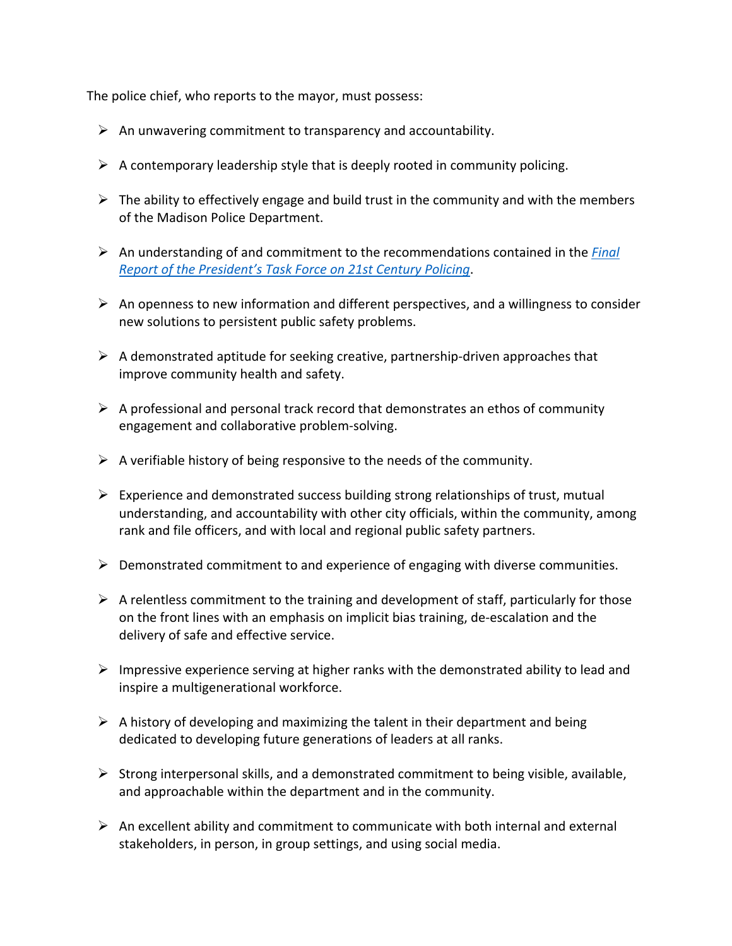The police chief, who reports to the mayor, must possess:

- $\triangleright$  An unwavering commitment to transparency and accountability.
- $\triangleright$  A contemporary leadership style that is deeply rooted in community policing.
- $\triangleright$  The ability to effectively engage and build trust in the community and with the members of the Madison Police Department.
- Ø An understanding of and commitment to the recommendations contained in the *Final Report of the President's Task Force on 21st Century Policing*.
- $\triangleright$  An openness to new information and different perspectives, and a willingness to consider new solutions to persistent public safety problems.
- $\triangleright$  A demonstrated aptitude for seeking creative, partnership-driven approaches that improve community health and safety.
- $\triangleright$  A professional and personal track record that demonstrates an ethos of community engagement and collaborative problem-solving.
- $\triangleright$  A verifiable history of being responsive to the needs of the community.
- $\triangleright$  Experience and demonstrated success building strong relationships of trust, mutual understanding, and accountability with other city officials, within the community, among rank and file officers, and with local and regional public safety partners.
- $\triangleright$  Demonstrated commitment to and experience of engaging with diverse communities.
- $\triangleright$  A relentless commitment to the training and development of staff, particularly for those on the front lines with an emphasis on implicit bias training, de-escalation and the delivery of safe and effective service.
- $\triangleright$  Impressive experience serving at higher ranks with the demonstrated ability to lead and inspire a multigenerational workforce.
- $\triangleright$  A history of developing and maximizing the talent in their department and being dedicated to developing future generations of leaders at all ranks.
- $\triangleright$  Strong interpersonal skills, and a demonstrated commitment to being visible, available, and approachable within the department and in the community.
- $\triangleright$  An excellent ability and commitment to communicate with both internal and external stakeholders, in person, in group settings, and using social media.